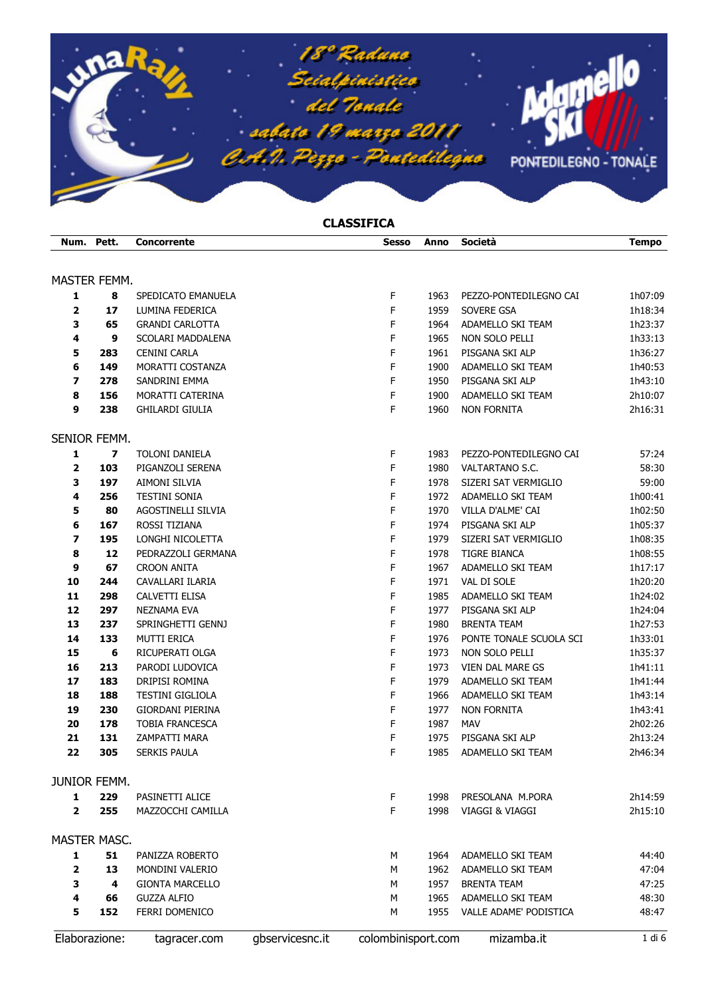

## **CLASSIFICA**

|                     | Num. Pett.              | <b>Concorrente</b>                    |                 | <b>Sesso</b>       | Anno | Società                 | <b>Tempo</b> |
|---------------------|-------------------------|---------------------------------------|-----------------|--------------------|------|-------------------------|--------------|
| MASTER FEMM.        |                         |                                       |                 |                    |      |                         |              |
|                     | 8                       |                                       |                 | F                  | 1963 | PEZZO-PONTEDILEGNO CAI  | 1h07:09      |
| 1<br>2              | 17                      | SPEDICATO EMANUELA<br>LUMINA FEDERICA |                 | F                  | 1959 | SOVERE GSA              | 1h18:34      |
| 3                   | 65                      | <b>GRANDI CARLOTTA</b>                |                 | F                  | 1964 | ADAMELLO SKI TEAM       | 1h23:37      |
| 4                   | 9                       | SCOLARI MADDALENA                     |                 | F                  | 1965 | NON SOLO PELLI          | 1h33:13      |
| 5                   | 283                     | <b>CENINI CARLA</b>                   |                 | F                  | 1961 | PISGANA SKI ALP         | 1h36:27      |
| 6                   | 149                     | MORATTI COSTANZA                      |                 | F                  | 1900 | ADAMELLO SKI TEAM       | 1h40:53      |
| 7                   | 278                     | SANDRINI EMMA                         |                 | F                  | 1950 | PISGANA SKI ALP         | 1h43:10      |
| 8                   | 156                     | MORATTI CATERINA                      |                 | F                  | 1900 | ADAMELLO SKI TEAM       | 2h10:07      |
| 9                   | 238                     | <b>GHILARDI GIULIA</b>                |                 | F                  | 1960 | <b>NON FORNITA</b>      | 2h16:31      |
| SENIOR FEMM.        |                         |                                       |                 |                    |      |                         |              |
| $\mathbf{1}$        | $\overline{\mathbf{z}}$ | TOLONI DANIELA                        |                 | F                  | 1983 | PEZZO-PONTEDILEGNO CAI  | 57:24        |
| 2                   | 103                     | PIGANZOLI SERENA                      |                 | F                  | 1980 | VALTARTANO S.C.         | 58:30        |
| 3                   | 197                     | AIMONI SILVIA                         |                 | F                  | 1978 | SIZERI SAT VERMIGLIO    | 59:00        |
| 4                   | 256                     | <b>TESTINI SONIA</b>                  |                 | F                  | 1972 | ADAMELLO SKI TEAM       | 1h00:41      |
| 5                   | 80                      | AGOSTINELLI SILVIA                    |                 | F                  | 1970 | VILLA D'ALME' CAI       | 1h02:50      |
| 6                   | 167                     | ROSSI TIZIANA                         |                 | F                  | 1974 | PISGANA SKI ALP         | 1h05:37      |
| 7                   | 195                     | LONGHI NICOLETTA                      |                 | F                  | 1979 | SIZERI SAT VERMIGLIO    | 1h08:35      |
| 8                   | 12                      | PEDRAZZOLI GERMANA                    |                 | F                  | 1978 | TIGRE BIANCA            | 1h08:55      |
| 9                   | 67                      | <b>CROON ANITA</b>                    |                 | F                  | 1967 | ADAMELLO SKI TEAM       | 1h17:17      |
| 10                  | 244                     | CAVALLARI ILARIA                      |                 | F                  | 1971 | VAL DI SOLE             | 1h20:20      |
| 11                  | 298                     | CALVETTI ELISA                        |                 | F                  | 1985 | ADAMELLO SKI TEAM       | 1h24:02      |
| 12                  | 297                     | NEZNAMA EVA                           |                 | F                  | 1977 | PISGANA SKI ALP         | 1h24:04      |
| 13                  | 237                     | SPRINGHETTI GENNJ                     |                 | F                  | 1980 | <b>BRENTA TEAM</b>      | 1h27:53      |
| 14                  | 133                     | MUTTI ERICA                           |                 | F                  | 1976 | PONTE TONALE SCUOLA SCI | 1h33:01      |
| 15                  | 6                       | RICUPERATI OLGA                       |                 | F                  | 1973 | NON SOLO PELLI          | 1h35:37      |
| 16                  | 213                     | PARODI LUDOVICA                       |                 | F                  | 1973 | VIEN DAL MARE GS        | 1h41:11      |
| 17                  | 183                     | DRIPISI ROMINA                        |                 | F                  | 1979 | ADAMELLO SKI TEAM       | 1h41:44      |
| 18                  | 188                     | <b>TESTINI GIGLIOLA</b>               |                 | F                  | 1966 | ADAMELLO SKI TEAM       | 1h43:14      |
| 19                  | 230                     | GIORDANI PIERINA                      |                 | F                  | 1977 | <b>NON FORNITA</b>      | 1h43:41      |
| 20                  | 178                     | <b>TOBIA FRANCESCA</b>                |                 | F                  | 1987 | MAV                     | 2h02:26      |
| 21                  | 131                     | ZAMPATTI MARA                         |                 | F                  | 1975 | PISGANA SKI ALP         | 2h13:24      |
| 22                  | 305                     | <b>SERKIS PAULA</b>                   |                 | F                  | 1985 | ADAMELLO SKI TEAM       | 2h46:34      |
| <b>JUNIOR FEMM.</b> |                         |                                       |                 |                    |      |                         |              |
| 1                   | 229                     | PASINETTI ALICE                       |                 | F                  | 1998 | PRESOLANA M.PORA        | 2h14:59      |
| $\overline{2}$      | 255                     | MAZZOCCHI CAMILLA                     |                 | F                  | 1998 | VIAGGI & VIAGGI         | 2h15:10      |
| MASTER MASC.        |                         |                                       |                 |                    |      |                         |              |
| 1                   | 51                      | PANIZZA ROBERTO                       |                 | м                  | 1964 | ADAMELLO SKI TEAM       | 44:40        |
| 2                   | 13                      | MONDINI VALERIO                       |                 | м                  | 1962 | ADAMELLO SKI TEAM       | 47:04        |
| 3                   | 4                       | <b>GIONTA MARCELLO</b>                |                 | М                  | 1957 | <b>BRENTA TEAM</b>      | 47:25        |
| 4                   | 66                      | <b>GUZZA ALFIO</b>                    |                 | M                  | 1965 | ADAMELLO SKI TEAM       | 48:30        |
| 5                   | 152                     | FERRI DOMENICO                        |                 | М                  | 1955 | VALLE ADAME' PODISTICA  | 48:47        |
|                     | Elaborazione:           | tagracer.com                          | gbservicesnc.it | colombinisport.com |      | mizamba.it              | 1 di 6       |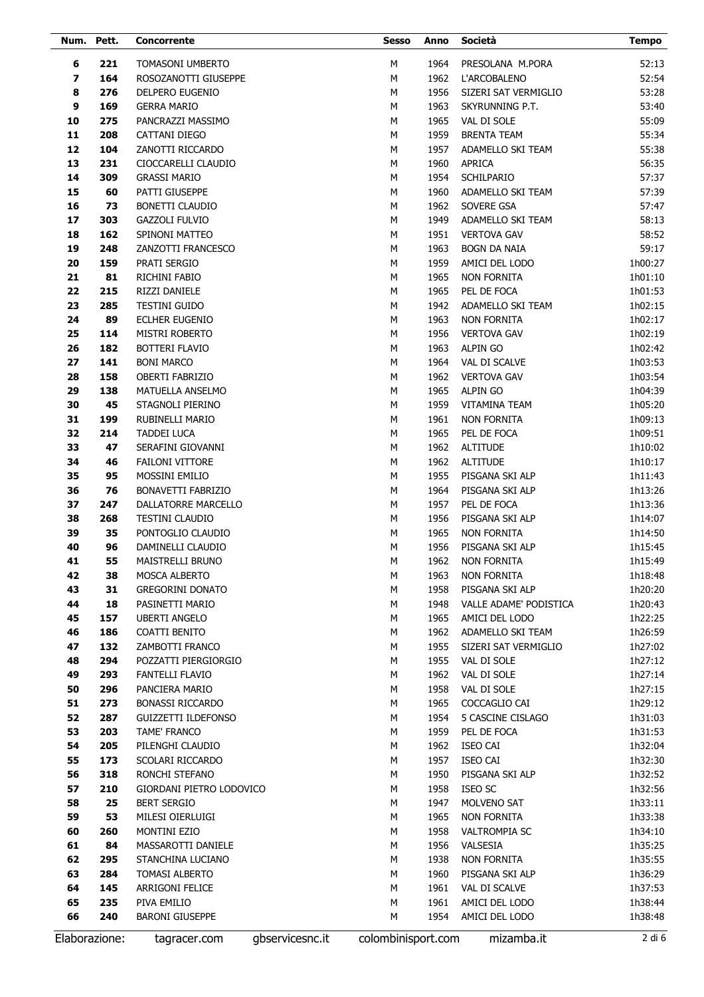| Num. Pett. |               | Concorrente                |                 | <b>Sesso</b>       | Anno | Società                | <b>Tempo</b> |
|------------|---------------|----------------------------|-----------------|--------------------|------|------------------------|--------------|
| 6          | 221           | TOMASONI UMBERTO           |                 | M                  | 1964 | PRESOLANA M.PORA       | 52:13        |
| 7          | 164           | ROSOZANOTTI GIUSEPPE       |                 | M                  | 1962 | L'ARCOBALENO           | 52:54        |
| 8          | 276           | DELPERO EUGENIO            |                 | M                  | 1956 | SIZERI SAT VERMIGLIO   | 53:28        |
| 9          | 169           | <b>GERRA MARIO</b>         |                 | M                  | 1963 | SKYRUNNING P.T.        | 53:40        |
| 10         | 275           | PANCRAZZI MASSIMO          |                 | M                  | 1965 | VAL DI SOLE            | 55:09        |
| 11         | 208           | CATTANI DIEGO              |                 | M                  | 1959 | <b>BRENTA TEAM</b>     | 55:34        |
| 12         | 104           | ZANOTTI RICCARDO           |                 | M                  | 1957 | ADAMELLO SKI TEAM      | 55:38        |
| 13         | 231           | CIOCCARELLI CLAUDIO        |                 | M                  | 1960 | <b>APRICA</b>          | 56:35        |
| 14         | 309           | <b>GRASSI MARIO</b>        |                 | M                  | 1954 | <b>SCHILPARIO</b>      | 57:37        |
| 15         | 60            | PATTI GIUSEPPE             |                 | M                  | 1960 | ADAMELLO SKI TEAM      | 57:39        |
| 16         | 73            | BONETTI CLAUDIO            |                 | M                  | 1962 | SOVERE GSA             | 57:47        |
| 17         | 303           | <b>GAZZOLI FULVIO</b>      |                 | M                  | 1949 | ADAMELLO SKI TEAM      | 58:13        |
| 18         | 162           | SPINONI MATTEO             |                 | M                  | 1951 | <b>VERTOVA GAV</b>     | 58:52        |
| 19         | 248           | ZANZOTTI FRANCESCO         |                 | M                  | 1963 | <b>BOGN DA NAIA</b>    | 59:17        |
| 20         | 159           | PRATI SERGIO               |                 | M                  | 1959 | AMICI DEL LODO         | 1h00:27      |
| 21         | 81            | RICHINI FABIO              |                 | М                  | 1965 | <b>NON FORNITA</b>     | 1h01:10      |
| 22         | 215           | RIZZI DANIELE              |                 | M                  | 1965 | PEL DE FOCA            | 1h01:53      |
| 23         | 285           | <b>TESTINI GUIDO</b>       |                 | М                  | 1942 | ADAMELLO SKI TEAM      | 1h02:15      |
| 24         | 89            | <b>ECLHER EUGENIO</b>      |                 | M                  | 1963 | <b>NON FORNITA</b>     | 1h02:17      |
| 25         | 114           | <b>MISTRI ROBERTO</b>      |                 | М                  | 1956 | <b>VERTOVA GAV</b>     | 1h02:19      |
| 26         | 182           | <b>BOTTERI FLAVIO</b>      |                 | M                  | 1963 | <b>ALPIN GO</b>        | 1h02:42      |
| 27         | 141           | <b>BONI MARCO</b>          |                 | М                  | 1964 | VAL DI SCALVE          | 1h03:53      |
| 28         | 158           | <b>OBERTI FABRIZIO</b>     |                 | M                  | 1962 | <b>VERTOVA GAV</b>     | 1h03:54      |
| 29         | 138           | MATUELLA ANSELMO           |                 | М                  | 1965 | <b>ALPIN GO</b>        | 1h04:39      |
| 30         | 45            | STAGNOLI PIERINO           |                 | M                  | 1959 | <b>VITAMINA TEAM</b>   | 1h05:20      |
| 31         | 199           | RUBINELLI MARIO            |                 | М                  | 1961 | <b>NON FORNITA</b>     | 1h09:13      |
| 32         | 214           | <b>TADDEI LUCA</b>         |                 | M                  | 1965 | PEL DE FOCA            | 1h09:51      |
| 33         | 47            | SERAFINI GIOVANNI          |                 | М                  | 1962 | <b>ALTITUDE</b>        | 1h10:02      |
| 34         | 46            | <b>FAILONI VITTORE</b>     |                 | М                  | 1962 | <b>ALTITUDE</b>        | 1h10:17      |
| 35         | 95            | MOSSINI EMILIO             |                 | М                  | 1955 | PISGANA SKI ALP        | 1h11:43      |
| 36         | 76            | BONAVETTI FABRIZIO         |                 | М                  | 1964 | PISGANA SKI ALP        | 1h13:26      |
| 37         | 247           | <b>DALLATORRE MARCELLO</b> |                 | M                  | 1957 | PEL DE FOCA            | 1h13:36      |
| 38         | 268           | TESTINI CLAUDIO            |                 | М                  | 1956 | PISGANA SKI ALP        | 1h14:07      |
| 39         | 35            | PONTOGLIO CLAUDIO          |                 | M                  | 1965 | <b>NON FORNITA</b>     | 1h14:50      |
| 40         | 96            | DAMINELLI CLAUDIO          |                 | М                  | 1956 | PISGANA SKI ALP        | 1h15:45      |
| 41         | 55            | MAISTRELLI BRUNO           |                 | M                  | 1962 | <b>NON FORNITA</b>     | 1h15:49      |
| 42         | 38            | MOSCA ALBERTO              |                 | М                  | 1963 | <b>NON FORNITA</b>     | 1h18:48      |
| 43         | 31            | <b>GREGORINI DONATO</b>    |                 | М                  | 1958 | PISGANA SKI ALP        | 1h20:20      |
| 44         | 18            | PASINETTI MARIO            |                 | M                  | 1948 | VALLE ADAME' PODISTICA | 1h20:43      |
| 45         | 157           | <b>UBERTI ANGELO</b>       |                 | М                  | 1965 | AMICI DEL LODO         | 1h22:25      |
| 46         | 186           | COATTI BENITO              |                 | М                  | 1962 | ADAMELLO SKI TEAM      | 1h26:59      |
| 47         | 132           | ZAMBOTTI FRANCO            |                 | М                  | 1955 | SIZERI SAT VERMIGLIO   | 1h27:02      |
| 48         | 294           | POZZATTI PIERGIORGIO       |                 | М                  | 1955 | VAL DI SOLE            | 1h27:12      |
| 49         | 293           | FANTELLI FLAVIO            |                 | М                  | 1962 | VAL DI SOLE            | 1h27:14      |
| 50         | 296           | PANCIERA MARIO             |                 | М                  | 1958 | VAL DI SOLE            | 1h27:15      |
| 51         | 273           | BONASSI RICCARDO           |                 | М                  | 1965 | COCCAGLIO CAI          | 1h29:12      |
| 52         | 287           | <b>GUIZZETTI ILDEFONSO</b> |                 | М                  | 1954 | 5 CASCINE CISLAGO      | 1h31:03      |
| 53         | 203           | TAME' FRANCO               |                 | М                  | 1959 | PEL DE FOCA            | 1h31:53      |
| 54         | 205           | PILENGHI CLAUDIO           |                 | М                  | 1962 | ISEO CAI               | 1h32:04      |
| 55         | 173           | SCOLARI RICCARDO           |                 | М                  | 1957 | <b>ISEO CAI</b>        | 1h32:30      |
| 56         | 318           | RONCHI STEFANO             |                 | М                  | 1950 | PISGANA SKI ALP        | 1h32:52      |
| 57         | 210           | GIORDANI PIETRO LODOVICO   |                 | М                  | 1958 | ISEO SC                | 1h32:56      |
| 58         | 25            | <b>BERT SERGIO</b>         |                 | М                  | 1947 | MOLVENO SAT            | 1h33:11      |
| 59         | 53            | MILESI OIERLUIGI           |                 | М                  | 1965 | <b>NON FORNITA</b>     | 1h33:38      |
| 60         | 260           | MONTINI EZIO               |                 | М                  | 1958 | VALTROMPIA SC          | 1h34:10      |
| 61         | 84            | MASSAROTTI DANIELE         |                 | М                  | 1956 | VALSESIA               | 1h35:25      |
| 62         | 295           | STANCHINA LUCIANO          |                 | М                  | 1938 | <b>NON FORNITA</b>     | 1h35:55      |
| 63         | 284           | TOMASI ALBERTO             |                 | М                  | 1960 | PISGANA SKI ALP        | 1h36:29      |
| 64         | 145           | ARRIGONI FELICE            |                 | М                  | 1961 | VAL DI SCALVE          | 1h37:53      |
| 65         | 235           | PIVA EMILIO                |                 | М                  | 1961 | AMICI DEL LODO         | 1h38:44      |
| 66         | 240           | <b>BARONI GIUSEPPE</b>     |                 | М                  | 1954 | AMICI DEL LODO         | 1h38:48      |
|            | Elaborazione: | tagracer.com               | gbservicesnc.it | colombinisport.com |      | mizamba.it             | 2 di 6       |
|            |               |                            |                 |                    |      |                        |              |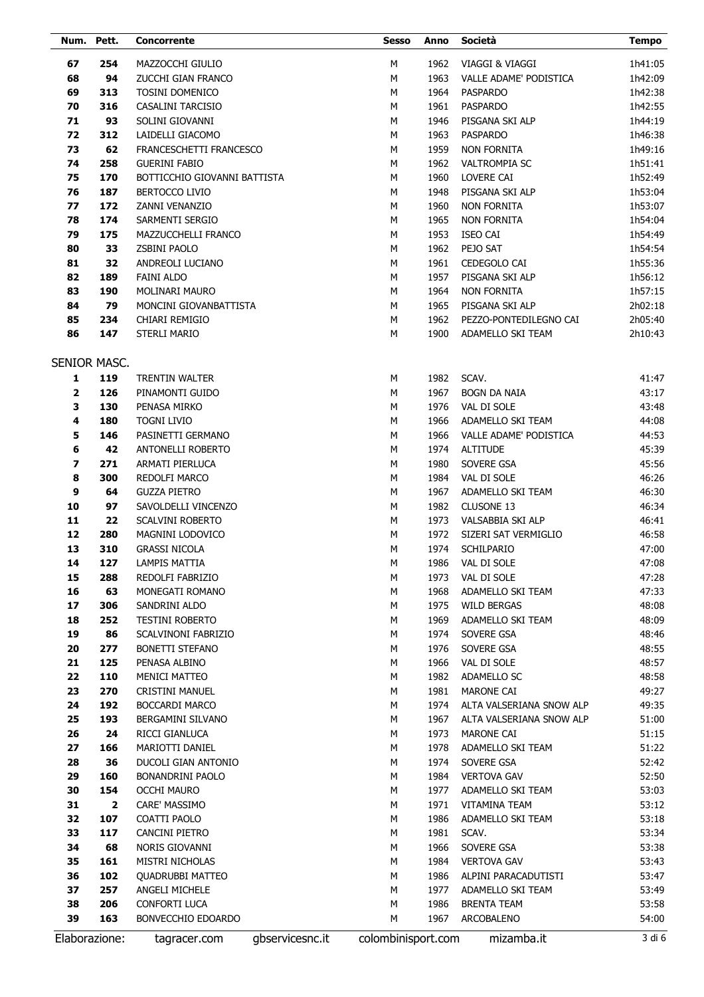| Num.     | Pett.                   | <b>Concorrente</b>                            |                 | <b>Sesso</b>       | Anno         | Società                  | <b>Tempo</b>   |
|----------|-------------------------|-----------------------------------------------|-----------------|--------------------|--------------|--------------------------|----------------|
| 67       | 254                     | MAZZOCCHI GIULIO                              |                 | М                  | 1962         | VIAGGI & VIAGGI          | 1h41:05        |
| 68       | 94                      | ZUCCHI GIAN FRANCO                            |                 | М                  | 1963         | VALLE ADAME' PODISTICA   | 1h42:09        |
| 69       | 313                     | <b>TOSINI DOMENICO</b>                        |                 | М                  | 1964         | <b>PASPARDO</b>          | 1h42:38        |
| 70       | 316                     | CASALINI TARCISIO                             |                 | М                  | 1961         | <b>PASPARDO</b>          | 1h42:55        |
| 71       | 93                      | SOLINI GIOVANNI                               |                 | М                  | 1946         | PISGANA SKI ALP          | 1h44:19        |
| 72       | 312                     | LAIDELLI GIACOMO                              |                 | М                  | 1963         | <b>PASPARDO</b>          | 1h46:38        |
| 73       | 62                      | FRANCESCHETTI FRANCESCO                       |                 | М                  | 1959         | NON FORNITA              | 1h49:16        |
| 74       | 258                     | <b>GUERINI FABIO</b>                          |                 | М                  | 1962         | <b>VALTROMPIA SC</b>     | 1h51:41        |
| 75       | 170                     | BOTTICCHIO GIOVANNI BATTISTA                  |                 | M                  | 1960         | LOVERE CAI               | 1h52:49        |
| 76       | 187                     | <b>BERTOCCO LIVIO</b>                         |                 | M                  | 1948         | PISGANA SKI ALP          | 1h53:04        |
| 77       | 172                     | ZANNI VENANZIO                                |                 | M                  | 1960         | <b>NON FORNITA</b>       | 1h53:07        |
| 78       | 174                     | SARMENTI SERGIO                               |                 | M                  | 1965         | <b>NON FORNITA</b>       | 1h54:04        |
| 79       | 175                     | MAZZUCCHELLI FRANCO                           |                 | M                  | 1953         | <b>ISEO CAI</b>          | 1h54:49        |
| 80       | 33                      | ZSBINI PAOLO                                  |                 | M                  | 1962         | PEJO SAT                 | 1h54:54        |
| 81       | 32                      | ANDREOLI LUCIANO                              |                 | M                  | 1961         | CEDEGOLO CAI             | 1h55:36        |
| 82       | 189                     | <b>FAINI ALDO</b>                             |                 | M                  | 1957         | PISGANA SKI ALP          | 1h56:12        |
| 83       | 190                     | <b>MOLINARI MAURO</b>                         |                 | M                  | 1964         | <b>NON FORNITA</b>       | 1h57:15        |
| 84       | 79                      | MONCINI GIOVANBATTISTA                        |                 | M                  | 1965         | PISGANA SKI ALP          | 2h02:18        |
| 85       | 234                     | CHIARI REMIGIO                                |                 | М                  | 1962         | PEZZO-PONTEDILEGNO CAI   | 2h05:40        |
| 86       | 147                     | <b>STERLI MARIO</b>                           |                 | M                  | 1900         | ADAMELLO SKI TEAM        | 2h10:43        |
|          |                         |                                               |                 |                    |              |                          |                |
|          | SENIOR MASC.            |                                               |                 |                    |              |                          |                |
| 1        | 119                     | <b>TRENTIN WALTER</b>                         |                 | М                  | 1982         | SCAV.                    | 41:47          |
| 2        | 126                     | PINAMONTI GUIDO                               |                 | М                  | 1967         | <b>BOGN DA NAIA</b>      | 43:17          |
| 3        | 130                     | PENASA MIRKO                                  |                 | М                  | 1976         | VAL DI SOLE              | 43:48          |
| 4        | 180                     | <b>TOGNI LIVIO</b>                            |                 | M                  | 1966         | ADAMELLO SKI TEAM        | 44:08          |
| 5        | 146                     | PASINETTI GERMANO                             |                 | М                  | 1966         | VALLE ADAME' PODISTICA   | 44:53          |
| 6        | 42                      | ANTONELLI ROBERTO                             |                 | M                  | 1974         | <b>ALTITUDE</b>          | 45:39          |
| 7        | 271                     | ARMATI PIERLUCA                               |                 | М                  | 1980         | SOVERE GSA               | 45:56          |
| 8        | 300                     | REDOLFI MARCO                                 |                 | M                  | 1984         | VAL DI SOLE              | 46:26          |
| 9        | 64                      | <b>GUZZA PIETRO</b>                           |                 | M                  | 1967         | ADAMELLO SKI TEAM        | 46:30          |
| 10       | 97                      | SAVOLDELLI VINCENZO                           |                 | M                  | 1982         | CLUSONE 13               | 46:34          |
| 11       | 22                      | <b>SCALVINI ROBERTO</b>                       |                 | M                  | 1973         | VALSABBIA SKI ALP        | 46:41          |
| 12       | 280                     | MAGNINI LODOVICO                              |                 | M                  | 1972         | SIZERI SAT VERMIGLIO     | 46:58          |
| 13       | 310                     | <b>GRASSI NICOLA</b>                          |                 | M                  | 1974         | SCHILPARIO               | 47:00          |
| 14       | 127                     | <b>LAMPIS MATTIA</b>                          |                 | м                  | 1986         | VAL DI SOLE              | 47:08          |
| 15       | 288                     | REDOLFI FABRIZIO                              |                 | М                  | 1973         | VAL DI SOLE              | 47:28          |
| 16       | 63                      | MONEGATI ROMANO                               |                 | М                  | 1968         | ADAMELLO SKI TEAM        | 47:33          |
| 17       | 306                     | SANDRINI ALDO                                 |                 | М                  | 1975         | <b>WILD BERGAS</b>       | 48:08          |
| 18<br>19 | 252<br>86               | TESTINI ROBERTO                               |                 | М                  | 1969         | ADAMELLO SKI TEAM        | 48:09          |
| 20       | 277                     | SCALVINONI FABRIZIO<br><b>BONETTI STEFANO</b> |                 | М<br>М             | 1974<br>1976 | SOVERE GSA<br>SOVERE GSA | 48:46<br>48:55 |
| 21       | 125                     | PENASA ALBINO                                 |                 | М                  | 1966         | VAL DI SOLE              | 48:57          |
| 22       | 110                     | <b>MENICI MATTEO</b>                          |                 | М                  | 1982         | ADAMELLO SC              | 48:58          |
| 23       | 270                     | CRISTINI MANUEL                               |                 | М                  | 1981         | MARONE CAI               | 49:27          |
| 24       | 192                     | <b>BOCCARDI MARCO</b>                         |                 | М                  | 1974         | ALTA VALSERIANA SNOW ALP | 49:35          |
| 25       | 193                     | BERGAMINI SILVANO                             |                 | М                  | 1967         | ALTA VALSERIANA SNOW ALP | 51:00          |
| 26       | 24                      | RICCI GIANLUCA                                |                 | М                  | 1973         | MARONE CAI               | 51:15          |
| 27       | 166                     | MARIOTTI DANIEL                               |                 | М                  | 1978         | ADAMELLO SKI TEAM        | 51:22          |
| 28       | 36                      | DUCOLI GIAN ANTONIO                           |                 | М                  | 1974         | SOVERE GSA               | 52:42          |
| 29       | 160                     | BONANDRINI PAOLO                              |                 | М                  | 1984         | <b>VERTOVA GAV</b>       | 52:50          |
| 30       | 154                     | <b>OCCHI MAURO</b>                            |                 | М                  | 1977         | ADAMELLO SKI TEAM        | 53:03          |
| 31       | $\overline{\mathbf{2}}$ | CARE' MASSIMO                                 |                 | М                  | 1971         | <b>VITAMINA TEAM</b>     | 53:12          |
| 32       | 107                     | COATTI PAOLO                                  |                 | М                  | 1986         | ADAMELLO SKI TEAM        | 53:18          |
| 33       | 117                     | CANCINI PIETRO                                |                 | М                  | 1981         | SCAV.                    | 53:34          |
| 34       | 68                      | NORIS GIOVANNI                                |                 | М                  | 1966         | SOVERE GSA               | 53:38          |
| 35       | 161                     | MISTRI NICHOLAS                               |                 | М                  | 1984         | <b>VERTOVA GAV</b>       | 53:43          |
| 36       | 102                     | <b>QUADRUBBI MATTEO</b>                       |                 | М                  | 1986         | ALPINI PARACADUTISTI     | 53:47          |
| 37       | 257                     | ANGELI MICHELE                                |                 | М                  | 1977         | ADAMELLO SKI TEAM        | 53:49          |
| 38       | 206                     | CONFORTI LUCA                                 |                 | М                  | 1986         | <b>BRENTA TEAM</b>       | 53:58          |
| 39       | 163                     | BONVECCHIO EDOARDO                            |                 | М                  | 1967         | ARCOBALENO               | 54:00          |
|          | Elaborazione:           | tagracer.com                                  | gbservicesnc.it | colombinisport.com |              | mizamba.it               | 3 di 6         |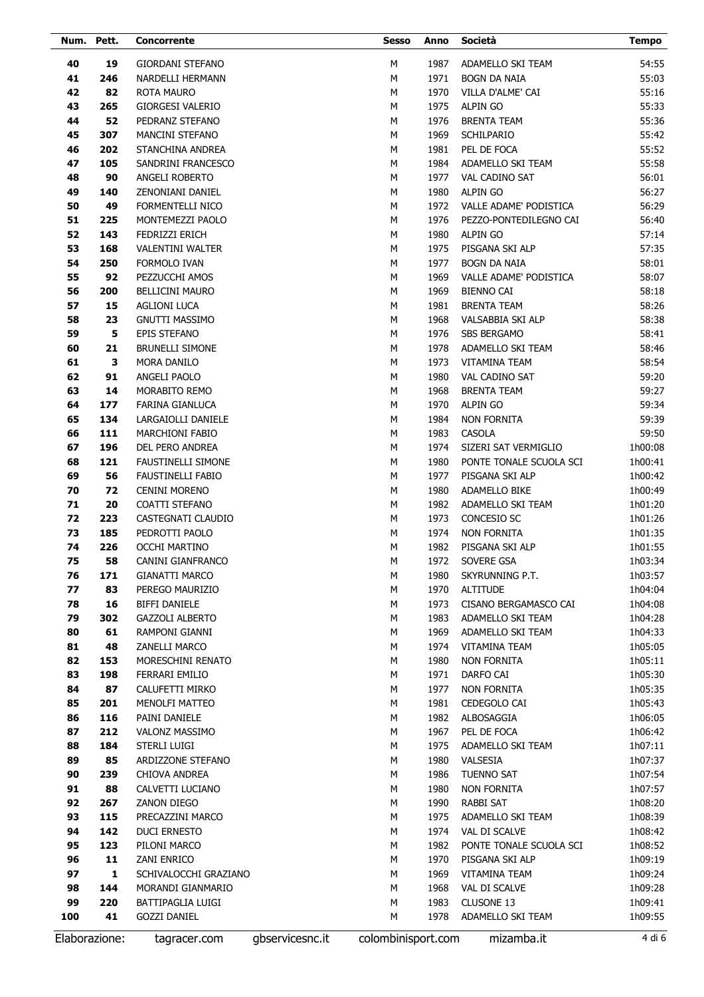| Num. Pett.    |     | Concorrente               |                 | <b>Sesso</b>       | Anno | Società                 | <b>Tempo</b>   |
|---------------|-----|---------------------------|-----------------|--------------------|------|-------------------------|----------------|
| 40            | 19  | GIORDANI STEFANO          |                 | M                  | 1987 | ADAMELLO SKI TEAM       | 54:55          |
| 41            | 246 | NARDELLI HERMANN          |                 | M                  | 1971 | <b>BOGN DA NAIA</b>     | 55:03          |
| 42            | 82  | ROTA MAURO                |                 | M                  | 1970 | VILLA D'ALME' CAI       | 55:16          |
| 43            | 265 | <b>GIORGESI VALERIO</b>   |                 | M                  | 1975 | <b>ALPIN GO</b>         | 55:33          |
| 44            | 52  |                           |                 | M                  | 1976 | <b>BRENTA TEAM</b>      |                |
|               | 307 | PEDRANZ STEFANO           |                 | M                  | 1969 | <b>SCHILPARIO</b>       | 55:36<br>55:42 |
| 45            |     | <b>MANCINI STEFANO</b>    |                 |                    |      |                         |                |
| 46            | 202 | STANCHINA ANDREA          |                 | M                  | 1981 | PEL DE FOCA             | 55:52          |
| 47            | 105 | SANDRINI FRANCESCO        |                 | M                  | 1984 | ADAMELLO SKI TEAM       | 55:58          |
| 48            | 90  | ANGELI ROBERTO            |                 | M                  | 1977 | VAL CADINO SAT          | 56:01          |
| 49            | 140 | ZENONIANI DANIEL          |                 | M                  | 1980 | <b>ALPIN GO</b>         | 56:27          |
| 50            | 49  | FORMENTELLI NICO          |                 | M                  | 1972 | VALLE ADAME' PODISTICA  | 56:29          |
| 51            | 225 | MONTEMEZZI PAOLO          |                 | M                  | 1976 | PEZZO-PONTEDILEGNO CAI  | 56:40          |
| 52            | 143 | FEDRIZZI ERICH            |                 | M                  | 1980 | <b>ALPIN GO</b>         | 57:14          |
| 53            | 168 | <b>VALENTINI WALTER</b>   |                 | M                  | 1975 | PISGANA SKI ALP         | 57:35          |
| 54            | 250 | FORMOLO IVAN              |                 | M                  | 1977 | <b>BOGN DA NAIA</b>     | 58:01          |
| 55            | 92  | PEZZUCCHI AMOS            |                 | М                  | 1969 | VALLE ADAME' PODISTICA  | 58:07          |
| 56            | 200 | <b>BELLICINI MAURO</b>    |                 | M                  | 1969 | <b>BIENNO CAI</b>       | 58:18          |
| 57            | 15  | <b>AGLIONI LUCA</b>       |                 | М                  | 1981 | <b>BRENTA TEAM</b>      | 58:26          |
| 58            | 23  | <b>GNUTTI MASSIMO</b>     |                 | M                  | 1968 | VALSABBIA SKI ALP       | 58:38          |
| 59            | 5   | EPIS STEFANO              |                 | М                  | 1976 | <b>SBS BERGAMO</b>      | 58:41          |
| 60            | 21  | <b>BRUNELLI SIMONE</b>    |                 | M                  | 1978 | ADAMELLO SKI TEAM       | 58:46          |
| 61            | 3   | MORA DANILO               |                 | М                  | 1973 | <b>VITAMINA TEAM</b>    | 58:54          |
| 62            | 91  | ANGELI PAOLO              |                 | M                  | 1980 | VAL CADINO SAT          | 59:20          |
| 63            | 14  | <b>MORABITO REMO</b>      |                 | М                  | 1968 | <b>BRENTA TEAM</b>      | 59:27          |
| 64            | 177 | FARINA GIANLUCA           |                 | M                  | 1970 | <b>ALPIN GO</b>         | 59:34          |
| 65            | 134 | LARGAIOLLI DANIELE        |                 | М                  | 1984 | <b>NON FORNITA</b>      | 59:39          |
| 66            | 111 | <b>MARCHIONI FABIO</b>    |                 | M                  | 1983 | CASOLA                  | 59:50          |
| 67            | 196 | DEL PERO ANDREA           |                 | М                  | 1974 | SIZERI SAT VERMIGLIO    | 1h00:08        |
| 68            | 121 | <b>FAUSTINELLI SIMONE</b> |                 | М                  | 1980 | PONTE TONALE SCUOLA SCI | 1h00:41        |
| 69            | 56  | <b>FAUSTINELLI FABIO</b>  |                 | M                  | 1977 | PISGANA SKI ALP         | 1h00:42        |
| 70            | 72  | <b>CENINI MORENO</b>      |                 | М                  | 1980 | ADAMELLO BIKE           | 1h00:49        |
| 71            | 20  | COATTI STEFANO            |                 | M                  | 1982 | ADAMELLO SKI TEAM       | 1h01:20        |
| 72            | 223 | CASTEGNATI CLAUDIO        |                 | М                  | 1973 | CONCESIO SC             | 1h01:26        |
| 73            | 185 | PEDROTTI PAOLO            |                 | M                  | 1974 | <b>NON FORNITA</b>      | 1h01:35        |
| 74            | 226 | <b>OCCHI MARTINO</b>      |                 | М                  | 1982 | PISGANA SKI ALP         | 1h01:55        |
| 75            | 58  | CANINI GIANFRANCO         |                 | M                  | 1972 | <b>SOVERE GSA</b>       | 1h03:34        |
| 76            | 171 | <b>GIANATTI MARCO</b>     |                 | М                  | 1980 | SKYRUNNING P.T.         | 1h03:57        |
| 77            | 83  | PEREGO MAURIZIO           |                 | М                  | 1970 | <b>ALTITUDE</b>         | 1h04:04        |
| 78            | 16  | <b>BIFFI DANIELE</b>      |                 | M                  | 1973 | CISANO BERGAMASCO CAI   | 1h04:08        |
| 79            | 302 | <b>GAZZOLI ALBERTO</b>    |                 | М                  | 1983 | ADAMELLO SKI TEAM       | 1h04:28        |
| 80            | 61  | RAMPONI GIANNI            |                 | М                  | 1969 | ADAMELLO SKI TEAM       | 1h04:33        |
| 81            | 48  | ZANELLI MARCO             |                 | М                  | 1974 | VITAMINA TEAM           | 1h05:05        |
| 82            | 153 | MORESCHINI RENATO         |                 | М                  | 1980 | <b>NON FORNITA</b>      | 1h05:11        |
| 83            | 198 | FERRARI EMILIO            |                 | М                  | 1971 | DARFO CAI               | 1h05:30        |
| 84            | 87  | CALUFETTI MIRKO           |                 | М                  | 1977 | <b>NON FORNITA</b>      | 1h05:35        |
| 85            | 201 | MENOLFI MATTEO            |                 | М                  | 1981 | CEDEGOLO CAI            | 1h05:43        |
| 86            | 116 | PAINI DANIELE             |                 | М                  | 1982 | ALBOSAGGIA              | 1h06:05        |
| 87            | 212 | VALONZ MASSIMO            |                 | М                  | 1967 | PEL DE FOCA             | 1h06:42        |
| 88            | 184 | STERLI LUIGI              |                 | М                  | 1975 | ADAMELLO SKI TEAM       | 1h07:11        |
| 89            | 85  | ARDIZZONE STEFANO         |                 | М                  | 1980 | VALSESIA                | 1h07:37        |
| 90            | 239 | CHIOVA ANDREA             |                 | М                  | 1986 | <b>TUENNO SAT</b>       | 1h07:54        |
| 91            | 88  | CALVETTI LUCIANO          |                 | М                  | 1980 | <b>NON FORNITA</b>      | 1h07:57        |
| 92            | 267 | ZANON DIEGO               |                 | М                  | 1990 | RABBI SAT               | 1h08:20        |
| 93            | 115 | PRECAZZINI MARCO          |                 | М                  | 1975 | ADAMELLO SKI TEAM       | 1h08:39        |
| 94            | 142 | <b>DUCI ERNESTO</b>       |                 | М                  | 1974 | VAL DI SCALVE           | 1h08:42        |
| 95            | 123 | PILONI MARCO              |                 | М                  | 1982 | PONTE TONALE SCUOLA SCI | 1h08:52        |
| 96            | 11  | ZANI ENRICO               |                 | М                  | 1970 | PISGANA SKI ALP         | 1h09:19        |
| 97            | 1   | SCHIVALOCCHI GRAZIANO     |                 | М                  | 1969 | VITAMINA TEAM           | 1h09:24        |
| 98            | 144 | MORANDI GIANMARIO         |                 | М                  | 1968 | VAL DI SCALVE           | 1h09:28        |
| 99            | 220 | BATTIPAGLIA LUIGI         |                 | М                  | 1983 | CLUSONE 13              | 1h09:41        |
| 100           | 41  | <b>GOZZI DANIEL</b>       |                 | М                  | 1978 | ADAMELLO SKI TEAM       | 1h09:55        |
| Elaborazione: |     | tagracer.com              | gbservicesnc.it | colombinisport.com |      | mizamba.it              | 4 di 6         |
|               |     |                           |                 |                    |      |                         |                |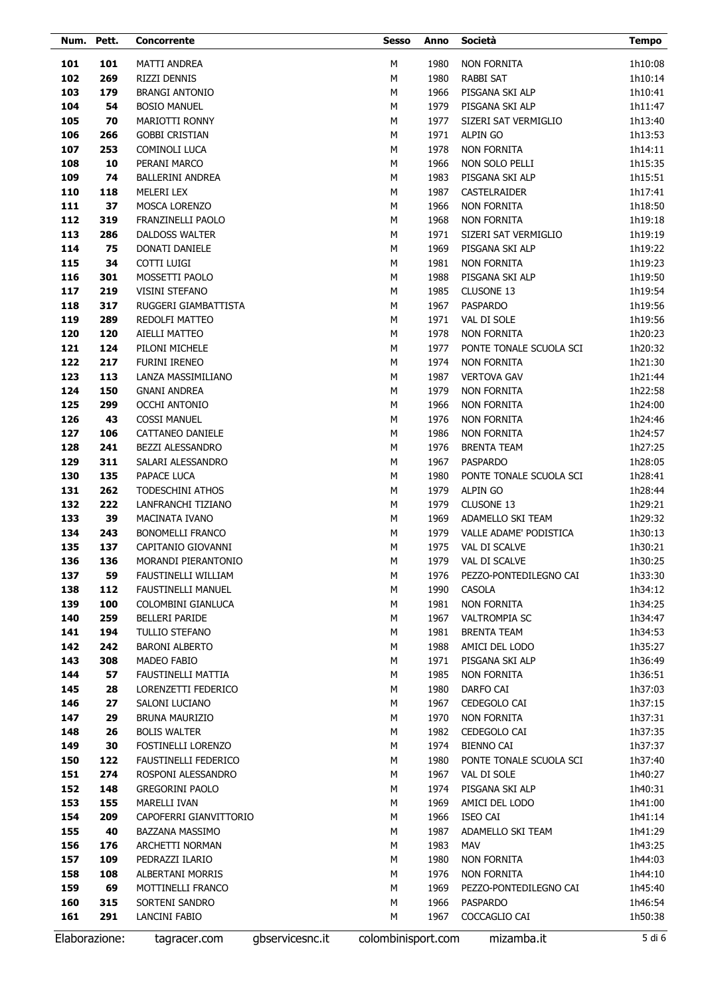| Num. Pett. |               | Concorrente                                   |                 | <b>Sesso</b>       | Anno         | Società                       | <b>Tempo</b>       |
|------------|---------------|-----------------------------------------------|-----------------|--------------------|--------------|-------------------------------|--------------------|
| 101        | 101           | MATTI ANDREA                                  |                 | М                  | 1980         | <b>NON FORNITA</b>            | 1h10:08            |
| 102        | 269           | RIZZI DENNIS                                  |                 | М                  | 1980         | <b>RABBI SAT</b>              | 1h10:14            |
| 103        | 179           | <b>BRANGI ANTONIO</b>                         |                 | М                  | 1966         | PISGANA SKI ALP               | 1h10:41            |
| 104        | 54            | <b>BOSIO MANUEL</b>                           |                 | M                  | 1979         | PISGANA SKI ALP               | 1h11:47            |
| 105        | 70            | MARIOTTI RONNY                                |                 | М                  | 1977         | SIZERI SAT VERMIGLIO          | 1h13:40            |
| 106        | 266           | <b>GOBBI CRISTIAN</b>                         |                 | M                  | 1971         | <b>ALPIN GO</b>               | 1h13:53            |
| 107        | 253           | COMINOLI LUCA                                 |                 | М                  | 1978         | <b>NON FORNITA</b>            | 1h14:11            |
| 108        | 10            | PERANI MARCO                                  |                 | M                  | 1966         | NON SOLO PELLI                | 1h15:35            |
| 109        | 74            | <b>BALLERINI ANDREA</b>                       |                 | М                  | 1983         | PISGANA SKI ALP               | 1h15:51            |
| 110        | 118           | <b>MELERI LEX</b>                             |                 | M                  | 1987         | CASTELRAIDER                  | 1h17:41            |
| 111        | 37            | <b>MOSCA LORENZO</b>                          |                 | М                  | 1966         | <b>NON FORNITA</b>            | 1h18:50            |
| 112        | 319           | FRANZINELLI PAOLO                             |                 | M                  | 1968         | <b>NON FORNITA</b>            | 1h19:18            |
| 113        | 286           | <b>DALDOSS WALTER</b>                         |                 | М                  | 1971         | SIZERI SAT VERMIGLIO          | 1h19:19            |
| 114        | 75            | <b>DONATI DANIELE</b>                         |                 | М                  | 1969         | PISGANA SKI ALP               | 1h19:22            |
| 115        | 34            | COTTI LUIGI                                   |                 | М                  | 1981         | <b>NON FORNITA</b>            | 1h19:23            |
| 116        | 301           | MOSSETTI PAOLO                                |                 | М                  | 1988         | PISGANA SKI ALP               | 1h19:50            |
| 117        | 219           | <b>VISINI STEFANO</b>                         |                 | M                  | 1985         | CLUSONE 13                    | 1h19:54            |
| 118        | 317           | RUGGERI GIAMBATTISTA                          |                 | М                  | 1967         | PASPARDO                      | 1h19:56            |
| 119        | 289           | REDOLFI MATTEO                                |                 | M                  | 1971         | VAL DI SOLE                   | 1h19:56            |
| 120        | 120           | AIELLI MATTEO                                 |                 | М                  | 1978         | <b>NON FORNITA</b>            | 1h20:23            |
| 121        | 124           | PILONI MICHELE                                |                 | M                  | 1977         | PONTE TONALE SCUOLA SCI       | 1h20:32            |
| 122        | 217           | FURINI IRENEO                                 |                 | М                  | 1974         | <b>NON FORNITA</b>            | 1h21:30            |
| 123        | 113           | LANZA MASSIMILIANO                            |                 | М                  | 1987         | <b>VERTOVA GAV</b>            | 1h21:44            |
| 124        | 150           | <b>GNANI ANDREA</b>                           |                 | М                  | 1979         | <b>NON FORNITA</b>            | 1h22:58            |
| 125        | 299           | <b>OCCHI ANTONIO</b>                          |                 | М                  | 1966         | <b>NON FORNITA</b>            | 1h24:00            |
| 126        | 43            | <b>COSSI MANUEL</b>                           |                 | М                  | 1976         | <b>NON FORNITA</b>            | 1h24:46            |
| 127        | 106           | CATTANEO DANIELE                              |                 | М                  | 1986         | <b>NON FORNITA</b>            | 1h24:57            |
| 128        | 241           | BEZZI ALESSANDRO                              |                 | М                  | 1976         | <b>BRENTA TEAM</b>            | 1h27:25            |
| 129        | 311           | SALARI ALESSANDRO                             |                 | М                  | 1967         | PASPARDO                      | 1h28:05            |
| 130        | 135           | PAPACE LUCA                                   |                 | M                  | 1980         | PONTE TONALE SCUOLA SCI       | 1h28:41            |
| 131<br>132 | 262<br>222    | <b>TODESCHINI ATHOS</b><br>LANFRANCHI TIZIANO |                 | М<br>M             | 1979<br>1979 | <b>ALPIN GO</b><br>CLUSONE 13 | 1h28:44            |
| 133        | 39            | <b>MACINATA IVANO</b>                         |                 | М                  | 1969         | ADAMELLO SKI TEAM             | 1h29:21<br>1h29:32 |
| 134        | 243           | <b>BONOMELLI FRANCO</b>                       |                 | М                  | 1979         | VALLE ADAME' PODISTICA        | 1h30:13            |
| 135        | 137           | CAPITANIO GIOVANNI                            |                 | М                  | 1975         | <b>VAL DI SCALVE</b>          | 1h30:21            |
| 136        | 136           | MORANDI PIERANTONIO                           |                 | M                  | 1979         | VAL DI SCALVE                 | 1h30:25            |
| 137        | 59            | FAUSTINELLI WILLIAM                           |                 | М                  | 1976         | PEZZO-PONTEDILEGNO CAI        | 1h33:30            |
| 138        | 112           | <b>FAUSTINELLI MANUEL</b>                     |                 | М                  | 1990         | CASOLA                        | 1h34:12            |
| 139        | 100           | COLOMBINI GIANLUCA                            |                 | М                  | 1981         | <b>NON FORNITA</b>            | 1h34:25            |
| 140        | 259           | <b>BELLERI PARIDE</b>                         |                 | М                  | 1967         | <b>VALTROMPIA SC</b>          | 1h34:47            |
| 141        | 194           | TULLIO STEFANO                                |                 | М                  | 1981         | <b>BRENTA TEAM</b>            | 1h34:53            |
| 142        | 242           | <b>BARONI ALBERTO</b>                         |                 | М                  | 1988         | AMICI DEL LODO                | 1h35:27            |
| 143        | 308           | MADEO FABIO                                   |                 | М                  | 1971         | PISGANA SKI ALP               | 1h36:49            |
| 144        | 57            | FAUSTINELLI MATTIA                            |                 | М                  | 1985         | <b>NON FORNITA</b>            | 1h36:51            |
| 145        | 28            | LORENZETTI FEDERICO                           |                 | М                  | 1980         | DARFO CAI                     | 1h37:03            |
| 146        | 27            | SALONI LUCIANO                                |                 | М                  | 1967         | CEDEGOLO CAI                  | 1h37:15            |
| 147        | 29            | <b>BRUNA MAURIZIO</b>                         |                 | М                  | 1970         | <b>NON FORNITA</b>            | 1h37:31            |
| 148        | 26            | <b>BOLIS WALTER</b>                           |                 | М                  | 1982         | CEDEGOLO CAI                  | 1h37:35            |
| 149        | 30            | FOSTINELLI LORENZO                            |                 | М                  | 1974         | <b>BIENNO CAI</b>             | 1h37:37            |
| 150        | 122           | FAUSTINELLI FEDERICO                          |                 | М                  | 1980         | PONTE TONALE SCUOLA SCI       | 1h37:40            |
| 151        | 274           | ROSPONI ALESSANDRO                            |                 | М                  | 1967         | VAL DI SOLE                   | 1h40:27            |
| 152        | 148           | <b>GREGORINI PAOLO</b>                        |                 | М                  | 1974         | PISGANA SKI ALP               | 1h40:31            |
| 153        | 155           | <b>MARELLI IVAN</b>                           |                 | М                  | 1969         | AMICI DEL LODO                | 1h41:00            |
| 154        | 209           | CAPOFERRI GIANVITTORIO                        |                 | М                  | 1966         | <b>ISEO CAI</b>               | 1h41:14            |
| 155        | 40            | BAZZANA MASSIMO                               |                 | М                  | 1987         | ADAMELLO SKI TEAM             | 1h41:29            |
| 156        | 176           | ARCHETTI NORMAN                               |                 | М                  | 1983         | MAV                           | 1h43:25            |
| 157        | 109           | PEDRAZZI ILARIO                               |                 | М                  | 1980         | <b>NON FORNITA</b>            | 1h44:03            |
| 158        | 108           | ALBERTANI MORRIS                              |                 | М                  | 1976         | <b>NON FORNITA</b>            | 1h44:10            |
| 159        | 69            | MOTTINELLI FRANCO                             |                 | М                  | 1969         | PEZZO-PONTEDILEGNO CAI        | 1h45:40            |
| 160        | 315           | SORTENI SANDRO                                |                 | М                  | 1966         | PASPARDO                      | 1h46:54            |
| 161        | 291           | LANCINI FABIO                                 |                 | М                  | 1967         | COCCAGLIO CAI                 | 1h50:38            |
|            | Elaborazione: | tagracer.com                                  | gbservicesnc.it | colombinisport.com |              | mizamba.it                    | 5 di 6             |